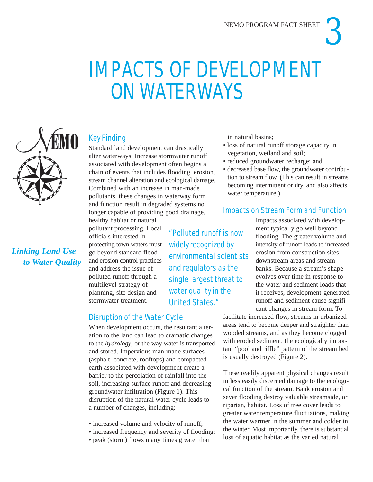

# IMPACTS OF DEVELOPMENT ON WATERWAYS



# *Linking Land Use to Water Quality*

# Key Finding

Standard land development can drastically alter waterways. Increase stormwater runoff associated with development often begins a chain of events that includes flooding, erosion, stream channel alteration and ecological damage. Combined with an increase in man-made pollutants, these changes in waterway form and function result in degraded systems no longer capable of providing good drainage, healthy habitat or natural

pollutant processing. Local officials interested in protecting town waters must go beyond standard flood and erosion control practices and address the issue of polluted runoff through a multilevel strategy of planning, site design and stormwater treatment.

## Disruption of the Water Cycle

When development occurs, the resultant alteration to the land can lead to dramatic changes to the *hydrology*, or the way water is transported and stored. Impervious man-made surfaces (asphalt, concrete, rooftops) and compacted earth associated with development create a barrier to the percolation of rainfall into the soil, increasing surface runoff and decreasing groundwater infiltration (Figure 1). This disruption of the natural water cycle leads to a number of changes, including:

- increased volume and velocity of runoff;
- increased frequency and severity of flooding;
- peak (storm) flows many times greater than

in natural basins;

- loss of natural runoff storage capacity in vegetation, wetland and soil;
- reduced groundwater recharge; and
- decreased base flow, the groundwater contribution to stream flow. (This can result in streams becoming intermittent or dry, and also affects water temperature.)

## Impacts on Stream Form and Function

Impacts associated with development typically go well beyond flooding. The greater volume and intensity of runoff leads to increased erosion from construction sites, downstream areas and stream banks. Because a stream's shape evolves over time in response to the water and sediment loads that it receives, development-generated runoff and sediment cause significant changes in stream form. To

facilitate increased flow, streams in urbanized areas tend to become deeper and straighter than wooded streams, and as they become clogged with eroded sediment, the ecologically important "pool and riffle" pattern of the stream bed is usually destroyed (Figure 2).

These readily apparent physical changes result in less easily discerned damage to the ecological function of the stream. Bank erosion and sever flooding destroy valuable streamside, or riparian, habitat. Loss of tree cover leads to greater water temperature fluctuations, making the water warmer in the summer and colder in the winter. Most importantly, there is substantial loss of aquatic habitat as the varied natural

"Polluted runoff is now widely recognized by environmental scientists and regulators as the single largest threat to water quality in the United States."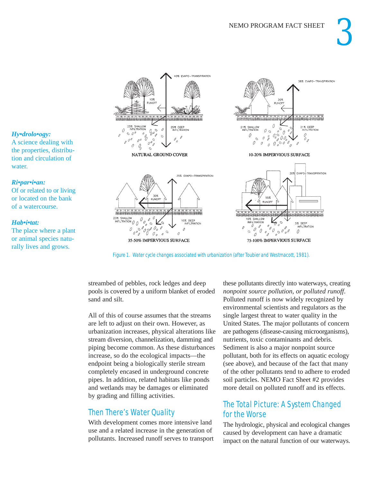

Figure 1. Water cycle changes associated with urbanization (after Toubier and Westmacott, 1981).

streambed of pebbles, rock ledges and deep pools is covered by a uniform blanket of eroded sand and silt.

All of this of course assumes that the streams are left to adjust on their own. However, as urbanization increases, physical alterations like stream diversion, channelization, damming and piping become common. As these disturbances increase, so do the ecological impacts—the endpoint being a biologically sterile stream completely encased in underground concrete pipes. In addition, related habitats like ponds and wetlands may be damages or eliminated by grading and filling activities.

# Then There's Water Quality

With development comes more intensive land use and a related increase in the generation of pollutants. Increased runoff serves to transport

these pollutants directly into waterways, creating *nonpoint source pollution, or polluted runoff*. Polluted runoff is now widely recognized by environmental scientists and regulators as the single largest threat to water quality in the United States. The major pollutants of concern are pathogens (disease-causing microorganisms), nutrients, toxic contaminants and debris. Sediment is also a major nonpoint source pollutant, both for its effects on aquatic ecology (see above), and because of the fact that many of the other pollutants tend to adhere to eroded soil particles. NEMO Fact Sheet #2 provides more detail on polluted runoff and its effects.

# The Total Picture: A System Changed for the Worse

The hydrologic, physical and ecological changes caused by development can have a dramatic impact on the natural function of our waterways.

### *Hy•drolo•ogy:*

A science dealing with the properties, distribution and circulation of water.

#### *Ri•par•i•an:*

Of or related to or living or located on the bank of a watercourse.

#### *Hab•i•tat:*

The place where a plant or animal species naturally lives and grows.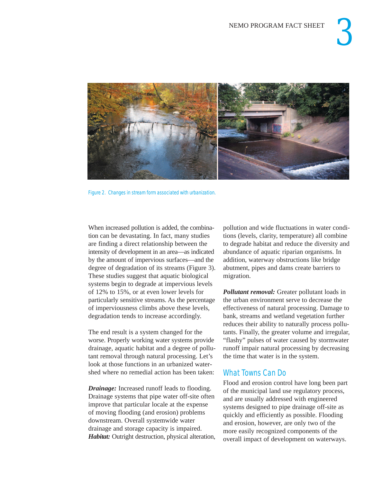

Figure 2. Changes in stream form associated with urbanization.

When increased pollution is added, the combination can be devastating. In fact, many studies are finding a direct relationship between the intensity of development in an area—as indicated by the amount of impervious surfaces—and the degree of degradation of its streams (Figure 3). These studies suggest that aquatic biological systems begin to degrade at impervious levels of 12% to 15%, or at even lower levels for particularly sensitive streams. As the percentage of imperviousness climbs above these levels, degradation tends to increase accordingly.

The end result is a system changed for the worse. Properly working water systems provide drainage, aquatic habitat and a degree of pollutant removal through natural processing. Let's look at those functions in an urbanized watershed where no remedial action has been taken:

*Drainage:* Increased runoff leads to flooding. Drainage systems that pipe water off-site often improve that particular locale at the expense of moving flooding (and erosion) problems downstream. Overall systemwide water drainage and storage capacity is impaired. *Habitat:* Outright destruction, physical alteration,

pollution and wide fluctuations in water conditions (levels, clarity, temperature) all combine to degrade habitat and reduce the diversity and abundance of aquatic riparian organisms. In addition, waterway obstructions like bridge abutment, pipes and dams create barriers to migration.

*Pollutant removal:* Greater pollutant loads in the urban environment serve to decrease the effectiveness of natural processing. Damage to bank, streams and wetland vegetation further reduces their ability to naturally process pollutants. Finally, the greater volume and irregular, "flashy" pulses of water caused by stormwater runoff impair natural processing by decreasing the time that water is in the system.

### What Towns Can Do

Flood and erosion control have long been part of the municipal land use regulatory process, and are usually addressed with engineered systems designed to pipe drainage off-site as quickly and efficiently as possible. Flooding and erosion, however, are only two of the more easily recognized components of the overall impact of development on waterways.